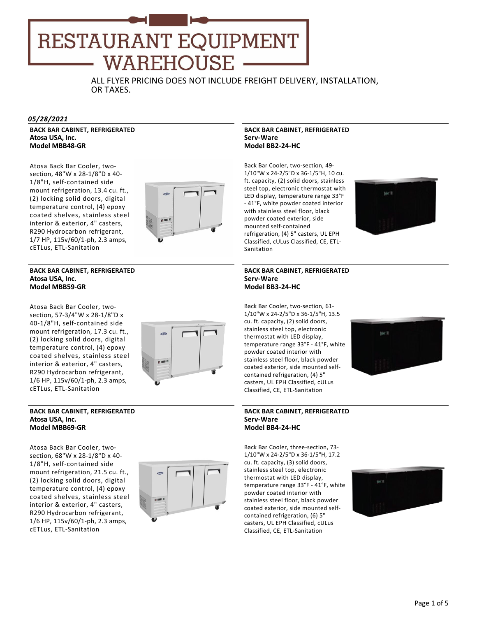# **RESTAURANT EQUIPMENT** WAREHOUSE

ALL FLYER PRICING DOES NOT INCLUDE FREIGHT DELIVERY, INSTALLATION, OR TAXES.

#### *05/28/2021*

**BACK BAR CABINET, REFRIGERATED Atosa USA, Inc. Model MBB48‐GR**

Atosa Back Bar Cooler, two‐ section, 48"W x 28‐1/8"D x 40‐ 1/8"H, self‐contained side mount refrigeration, 13.4 cu. ft., (2) locking solid doors, digital temperature control, (4) epoxy coated shelves, stainless steel interior & exterior, 4" casters, R290 Hydrocarbon refrigerant, 1/7 HP, 115v/60/1‐ph, 2.3 amps, cETLus, ETL‐Sanitation

#### **BACK BAR CABINET, REFRIGERATED Atosa USA, Inc. Model MBB59‐GR**

Atosa Back Bar Cooler, two‐ section, 57‐3/4"W x 28‐1/8"D x 40‐1/8"H, self‐contained side mount refrigeration, 17.3 cu. ft., (2) locking solid doors, digital temperature control, (4) epoxy coated shelves, stainless steel interior & exterior, 4" casters, R290 Hydrocarbon refrigerant, 1/6 HP, 115v/60/1‐ph, 2.3 amps, cETLus, ETL‐Sanitation



#### **BACK BAR CABINET, REFRIGERATED Atosa USA, Inc. Model MBB69‐GR**

Atosa Back Bar Cooler, two‐ section, 68"W x 28‐1/8"D x 40‐ 1/8"H, self‐contained side mount refrigeration, 21.5 cu. ft., (2) locking solid doors, digital temperature control, (4) epoxy coated shelves, stainless steel interior & exterior, 4" casters, R290 Hydrocarbon refrigerant, 1/6 HP, 115v/60/1‐ph, 2.3 amps, cETLus, ETL‐Sanitation



#### **BACK BAR CABINET, REFRIGERATED Serv‐Ware Model BB2‐24‐HC**

Back Bar Cooler, two‐section, 49‐ 1/10"W x 24‐2/5"D x 36‐1/5"H, 10 cu. ft. capacity, (2) solid doors, stainless steel top, electronic thermostat with LED display, temperature range 33°F ‐ 41°F, white powder coated interior with stainless steel floor, black powder coated exterior, side mounted self‐contained refrigeration, (4) 5" casters, UL EPH Classified, cULus Classified, CE, ETL‐ Sanitation



#### **BACK BAR CABINET, REFRIGERATED Serv‐Ware Model BB3‐24‐HC**

Back Bar Cooler, two‐section, 61‐ 1/10"W x 24‐2/5"D x 36‐1/5"H, 13.5 cu. ft. capacity, (2) solid doors, stainless steel top, electronic thermostat with LED display, temperature range 33°F ‐ 41°F, white powder coated interior with stainless steel floor, black powder coated exterior, side mounted self‐ contained refrigeration, (4) 5" casters, UL EPH Classified, cULus Classified, CE, ETL‐Sanitation



#### **BACK BAR CABINET, REFRIGERATED Serv‐Ware Model BB4‐24‐HC**

Back Bar Cooler, three‐section, 73‐ 1/10"W x 24‐2/5"D x 36‐1/5"H, 17.2 cu. ft. capacity, (3) solid doors, stainless steel top, electronic thermostat with LED display, temperature range 33°F ‐ 41°F, white powder coated interior with stainless steel floor, black powder coated exterior, side mounted self‐ contained refrigeration, (6) 5" casters, UL EPH Classified, cULus Classified, CE, ETL‐Sanitation

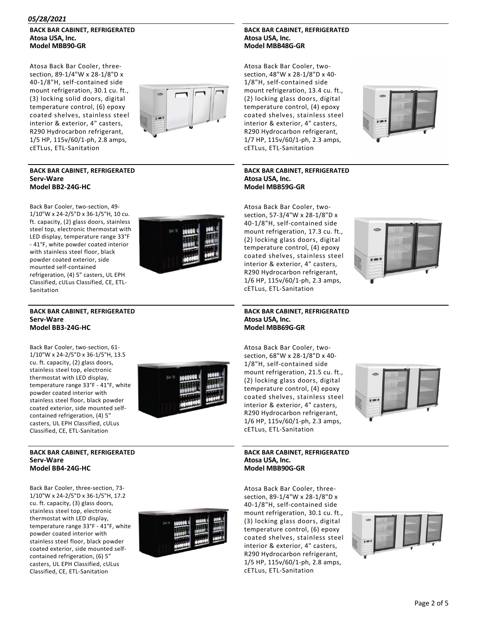#### **BACK BAR CABINET, REFRIGERATED Atosa USA, Inc. Model MBB90‐GR**

Atosa Back Bar Cooler, three‐ section, 89‐1/4"W x 28‐1/8"D x 40‐1/8"H, self‐contained side mount refrigeration, 30.1 cu. ft., (3) locking solid doors, digital temperature control, (6) epoxy coated shelves, stainless steel interior & exterior, 4" casters, R290 Hydrocarbon refrigerant, 1/5 HP, 115v/60/1‐ph, 2.8 amps, cETLus, ETL‐Sanitation



#### **BACK BAR CABINET, REFRIGERATED Serv‐Ware Model BB2‐24G‐HC**

Back Bar Cooler, two‐section, 49‐ 1/10"W x 24‐2/5"D x 36‐1/5"H, 10 cu. ft. capacity, (2) glass doors, stainless steel top, electronic thermostat with LED display, temperature range 33°F ‐ 41°F, white powder coated interior with stainless steel floor, black powder coated exterior, side mounted self‐contained refrigeration, (4) 5" casters, UL EPH Classified, cULus Classified, CE, ETL‐ Sanitation



#### **BACK BAR CABINET, REFRIGERATED Serv‐Ware Model BB3‐24G‐HC**

Back Bar Cooler, two‐section, 61‐ 1/10"W x 24‐2/5"D x 36‐1/5"H, 13.5 cu. ft. capacity, (2) glass doors, stainless steel top, electronic thermostat with LED display, temperature range 33°F ‐ 41°F, white powder coated interior with stainless steel floor, black powder coated exterior, side mounted self‐ contained refrigeration, (4) 5" casters, UL EPH Classified, cULus Classified, CE, ETL‐Sanitation



#### **BACK BAR CABINET, REFRIGERATED Serv‐Ware Model BB4‐24G‐HC**

Back Bar Cooler, three‐section, 73‐ 1/10"W x 24‐2/5"D x 36‐1/5"H, 17.2 cu. ft. capacity, (3) glass doors, stainless steel top, electronic thermostat with LED display, temperature range 33°F ‐ 41°F, white powder coated interior with stainless steel floor, black powder coated exterior, side mounted self‐ contained refrigeration, (6) 5" casters, UL EPH Classified, cULus Classified, CE, ETL‐Sanitation



#### **BACK BAR CABINET, REFRIGERATED Atosa USA, Inc. Model MBB48G‐GR**

Atosa Back Bar Cooler, two‐ section, 48"W x 28‐1/8"D x 40‐ 1/8"H, self‐contained side mount refrigeration, 13.4 cu. ft., (2) locking glass doors, digital temperature control, (4) epoxy coated shelves, stainless steel interior & exterior, 4" casters, R290 Hydrocarbon refrigerant, 1/7 HP, 115v/60/1‐ph, 2.3 amps, cETLus, ETL‐Sanitation



#### **BACK BAR CABINET, REFRIGERATED Atosa USA, Inc. Model MBB59G‐GR**

Atosa Back Bar Cooler, two‐ section, 57‐3/4"W x 28‐1/8"D x 40‐1/8"H, self‐contained side mount refrigeration, 17.3 cu. ft., (2) locking glass doors, digital temperature control, (4) epoxy coated shelves, stainless steel interior & exterior, 4" casters, R290 Hydrocarbon refrigerant, 1/6 HP, 115v/60/1‐ph, 2.3 amps, cETLus, ETL‐Sanitation



**BACK BAR CABINET, REFRIGERATED Atosa USA, Inc. Model MBB69G‐GR**

Atosa Back Bar Cooler, two‐ section, 68"W x 28‐1/8"D x 40‐ 1/8"H, self‐contained side mount refrigeration, 21.5 cu. ft., (2) locking glass doors, digital temperature control, (4) epoxy coated shelves, stainless steel interior & exterior, 4" casters, R290 Hydrocarbon refrigerant, 1/6 HP, 115v/60/1‐ph, 2.3 amps, cETLus, ETL‐Sanitation



#### **BACK BAR CABINET, REFRIGERATED Atosa USA, Inc. Model MBB90G‐GR**

Atosa Back Bar Cooler, three‐ section, 89‐1/4"W x 28‐1/8"D x 40‐1/8"H, self‐contained side mount refrigeration, 30.1 cu. ft., (3) locking glass doors, digital temperature control, (6) epoxy coated shelves, stainless steel interior & exterior, 4" casters, R290 Hydrocarbon refrigerant, 1/5 HP, 115v/60/1‐ph, 2.8 amps, cETLus, ETL‐Sanitation



#### Page 2 of 5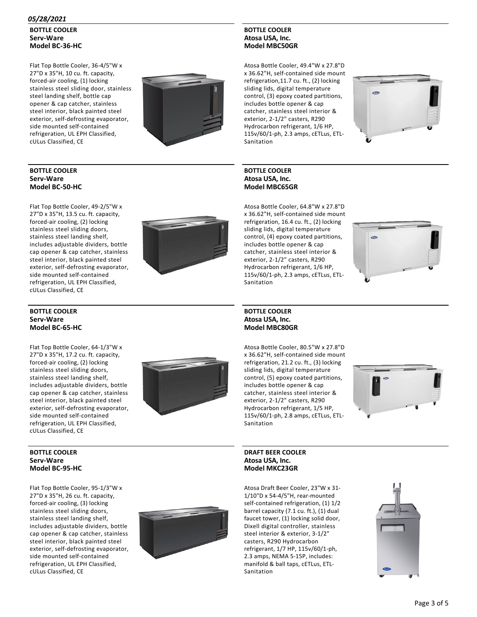**BOTTLE COOLER Serv‐Ware Model BC‐36‐HC**

Flat Top Bottle Cooler, 36‐4/5"W x 27"D x 35"H, 10 cu. ft. capacity, forced‐air cooling, (1) locking stainless steel sliding door, stainless steel landing shelf, bottle cap opener & cap catcher, stainless steel interior, black painted steel exterior, self‐defrosting evaporator, side mounted self‐contained refrigeration, UL EPH Classified, cULus Classified, CE



#### **BOTTLE COOLER Serv‐Ware Model BC‐50‐HC**

Flat Top Bottle Cooler, 49‐2/5"W x 27"D x 35"H, 13.5 cu. ft. capacity, forced‐air cooling, (2) locking stainless steel sliding doors, stainless steel landing shelf, includes adjustable dividers, bottle cap opener & cap catcher, stainless steel interior, black painted steel exterior, self‐defrosting evaporator, side mounted self‐contained refrigeration, UL EPH Classified, cULus Classified, CE



#### **BOTTLE COOLER Atosa USA, Inc. Model MBC50GR**

Atosa Bottle Cooler, 49.4"W x 27.8"D x 36.62"H, self‐contained side mount refrigeration,11.7 cu. ft., (2) locking sliding lids, digital temperature control, (3) epoxy coated partitions, includes bottle opener & cap catcher, stainless steel interior & exterior, 2‐1/2" casters, R290 Hydrocarbon refrigerant, 1/6 HP, 115v/60/1‐ph, 2.3 amps, cETLus, ETL‐ Sanitation







#### **BOTTLE COOLER Serv‐Ware Model BC‐65‐HC**

Flat Top Bottle Cooler, 64‐1/3"W x 27"D x 35"H, 17.2 cu. ft. capacity, forced‐air cooling, (2) locking stainless steel sliding doors, stainless steel landing shelf, includes adjustable dividers, bottle cap opener & cap catcher, stainless steel interior, black painted steel exterior, self‐defrosting evaporator, side mounted self‐contained refrigeration, UL EPH Classified, cULus Classified, CE



#### **BOTTLE COOLER Serv‐Ware Model BC‐95‐HC**

Flat Top Bottle Cooler, 95‐1/3"W x 27"D x 35"H, 26 cu. ft. capacity, forced‐air cooling, (3) locking stainless steel sliding doors, stainless steel landing shelf, includes adjustable dividers, bottle cap opener & cap catcher, stainless steel interior, black painted steel exterior, self‐defrosting evaporator, side mounted self‐contained refrigeration, UL EPH Classified, cULus Classified, CE



### **Atosa USA, Inc. Model MBC80GR**

**BOTTLE COOLER**

Sanitation

Atosa Bottle Cooler, 80.5"W x 27.8"D x 36.62"H, self‐contained side mount refrigeration, 21.2 cu. ft., (3) locking sliding lids, digital temperature control, (5) epoxy coated partitions, includes bottle opener & cap catcher, stainless steel interior & exterior, 2‐1/2" casters, R290 Hydrocarbon refrigerant, 1/5 HP, 115v/60/1‐ph, 2.8 amps, cETLus, ETL‐ Sanitation



#### **DRAFT BEER COOLER Atosa USA, Inc. Model MKC23GR**

Atosa Draft Beer Cooler, 23"W x 31‐ 1/10"D x 54‐4/5"H, rear‐mounted self-contained refrigeration, (1) 1/2 barrel capacity (7.1 cu. ft.), (1) dual faucet tower, (1) locking solid door, Dixell digital controller, stainless steel interior & exterior, 3‐1/2" casters, R290 Hydrocarbon refrigerant, 1/7 HP, 115v/60/1‐ph, 2.3 amps, NEMA 5‐15P, includes: manifold & ball taps, cETLus, ETL‐ Sanitation

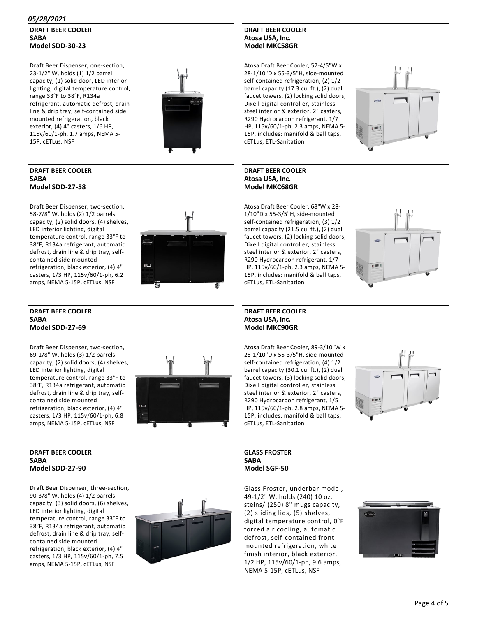#### **DRAFT BEER COOLER SABA Model SDD‐30‐23**

Draft Beer Dispenser, one‐section, 23‐1/2" W, holds (1) 1/2 barrel capacity, (1) solid door, LED interior lighting, digital temperature control, range 33°F to 38°F, R134a refrigerant, automatic defrost, drain line & drip tray, self‐contained side mounted refrigeration, black exterior, (4) 4" casters, 1/6 HP, 115v/60/1‐ph, 1.7 amps, NEMA 5‐ 15P, cETLus, NSF



#### **DRAFT BEER COOLER SABA Model SDD‐27‐58**

Draft Beer Dispenser, two‐section, 58‐7/8" W, holds (2) 1/2 barrels capacity, (2) solid doors, (4) shelves, LED interior lighting, digital temperature control, range 33°F to 38°F, R134a refrigerant, automatic defrost, drain line & drip tray, self‐ contained side mounted refrigeration, black exterior, (4) 4" casters, 1/3 HP, 115v/60/1‐ph, 6.2 amps, NEMA 5‐15P, cETLus, NSF



#### **DRAFT BEER COOLER SABA Model SDD‐27‐69**

Draft Beer Dispenser, two‐section, 69‐1/8" W, holds (3) 1/2 barrels capacity, (2) solid doors, (4) shelves, LED interior lighting, digital temperature control, range 33°F to 38°F, R134a refrigerant, automatic defrost, drain line & drip tray, self‐ contained side mounted refrigeration, black exterior, (4) 4" casters, 1/3 HP, 115v/60/1‐ph, 6.8 amps, NEMA 5‐15P, cETLus, NSF



#### **DRAFT BEER COOLER SABA Model SDD‐27‐90**

Draft Beer Dispenser, three‐section, 90‐3/8" W, holds (4) 1/2 barrels capacity, (3) solid doors, (6) shelves, LED interior lighting, digital temperature control, range 33°F to 38°F, R134a refrigerant, automatic defrost, drain line & drip tray, self‐ contained side mounted refrigeration, black exterior, (4) 4" casters, 1/3 HP, 115v/60/1‐ph, 7.5 amps, NEMA 5‐15P, cETLus, NSF



#### **DRAFT BEER COOLER Atosa USA, Inc. Model MKC58GR**

Atosa Draft Beer Cooler, 57‐4/5"W x 28‐1/10"D x 55‐3/5"H, side‐mounted self-contained refrigeration, (2) 1/2 barrel capacity (17.3 cu. ft.), (2) dual faucet towers, (2) locking solid doors, Dixell digital controller, stainless steel interior & exterior, 2" casters, R290 Hydrocarbon refrigerant, 1/7 HP, 115v/60/1‐ph, 2.3 amps, NEMA 5‐ 15P, includes: manifold & ball taps, cETLus, ETL‐Sanitation

#### **DRAFT BEER COOLER Atosa USA, Inc. Model MKC68GR**

Atosa Draft Beer Cooler, 68"W x 28‐ 1/10"D x 55‐3/5"H, side‐mounted self-contained refrigeration, (3) 1/2 barrel capacity (21.5 cu. ft.), (2) dual faucet towers, (2) locking solid doors, Dixell digital controller, stainless steel interior & exterior, 2" casters, R290 Hydrocarbon refrigerant, 1/7 HP, 115v/60/1‐ph, 2.3 amps, NEMA 5‐ 15P, includes: manifold & ball taps, cETLus, ETL‐Sanitation



#### **DRAFT BEER COOLER Atosa USA, Inc. Model MKC90GR**

Atosa Draft Beer Cooler, 89‐3/10"W x 28‐1/10"D x 55‐3/5"H, side‐mounted self-contained refrigeration, (4) 1/2 barrel capacity (30.1 cu. ft.), (2) dual faucet towers, (3) locking solid doors, Dixell digital controller, stainless steel interior & exterior, 2" casters, R290 Hydrocarbon refrigerant, 1/5 HP, 115v/60/1‐ph, 2.8 amps, NEMA 5‐ 15P, includes: manifold & ball taps, cETLus, ETL‐Sanitation



**GLASS FROSTER SABA Model SGF‐50**

Glass Froster, underbar model, 49‐1/2" W, holds (240) 10 oz. steins/ (250) 8" mugs capacity, (2) sliding lids, (5) shelves, digital temperature control, 0°F forced air cooling, automatic defrost, self‐contained front mounted refrigeration, white finish interior, black exterior, 1/2 HP, 115v/60/1‐ph, 9.6 amps, NEMA 5‐15P, cETLus, NSF



## Page 4 of 5